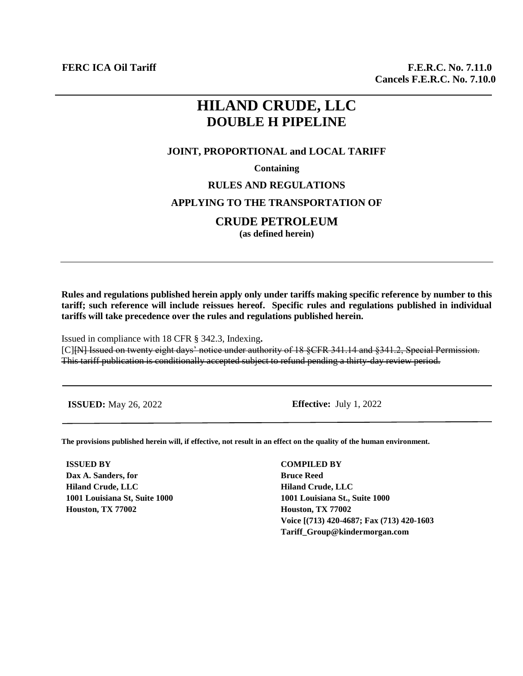# **HILAND CRUDE, LLC DOUBLE H PIPELINE**

#### **JOINT, PROPORTIONAL and LOCAL TARIFF**

**Containing**

#### **RULES AND REGULATIONS**

## **APPLYING TO THE TRANSPORTATION OF**

## **CRUDE PETROLEUM**

**(as defined herein)**

**Rules and regulations published herein apply only under tariffs making specific reference by number to this tariff; such reference will include reissues hereof. Specific rules and regulations published in individual tariffs will take precedence over the rules and regulations published herein.**

Issued in compliance with 18 CFR § 342.3, Indexing**.** [C][N] Issued on twenty eight days' notice under authority of 18 §CFR 341.14 and §341.2, Special Permission. This tariff publication is conditionally accepted subject to refund pending a thirty-day review period.

**ISSUED:** May 26, 2022 **Effective:** July 1, 2022

**The provisions published herein will, if effective, not result in an effect on the quality of the human environment.**

**ISSUED BY Dax A. Sanders, for Hiland Crude, LLC 1001 Louisiana St, Suite 1000 Houston, TX 77002**

**COMPILED BY Bruce Reed Hiland Crude, LLC 1001 Louisiana St., Suite 1000 Houston, TX 77002 Voice [(713) 420-4687; Fax (713) 420-1603 Tariff\_Group@kindermorgan.com**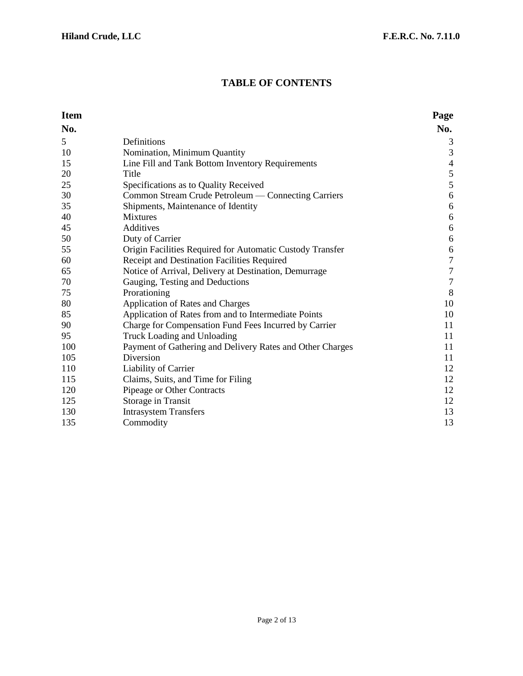# **TABLE OF CONTENTS**

| <b>Item</b> |                                                           | Page           |
|-------------|-----------------------------------------------------------|----------------|
| No.         |                                                           | No.            |
| 5           | Definitions                                               | 3              |
| 10          | Nomination, Minimum Quantity                              | 3              |
| 15          | Line Fill and Tank Bottom Inventory Requirements          | $\overline{4}$ |
| 20          | Title                                                     | $\sqrt{5}$     |
| 25          | Specifications as to Quality Received                     | $\sqrt{5}$     |
| 30          | Common Stream Crude Petroleum — Connecting Carriers       | 6              |
| 35          | Shipments, Maintenance of Identity                        | 6              |
| 40          | <b>Mixtures</b>                                           | 6              |
| 45          | Additives                                                 | $6\,$          |
| 50          | Duty of Carrier                                           | 6              |
| 55          | Origin Facilities Required for Automatic Custody Transfer | 6              |
| 60          | Receipt and Destination Facilities Required               | $\tau$         |
| 65          | Notice of Arrival, Delivery at Destination, Demurrage     | $\tau$         |
| 70          | Gauging, Testing and Deductions                           | $\tau$         |
| 75          | Prorationing                                              | 8              |
| 80          | <b>Application of Rates and Charges</b>                   | 10             |
| 85          | Application of Rates from and to Intermediate Points      | 10             |
| 90          | Charge for Compensation Fund Fees Incurred by Carrier     | 11             |
| 95          | Truck Loading and Unloading                               | 11             |
| 100         | Payment of Gathering and Delivery Rates and Other Charges | 11             |
| 105         | Diversion                                                 | 11             |
| 110         | Liability of Carrier                                      | 12             |
| 115         | Claims, Suits, and Time for Filing                        | 12             |
| 120         | Pipeage or Other Contracts                                | 12             |
| 125         | Storage in Transit                                        | 12             |
| 130         | <b>Intrasystem Transfers</b>                              | 13             |
| 135         | Commodity                                                 | 13             |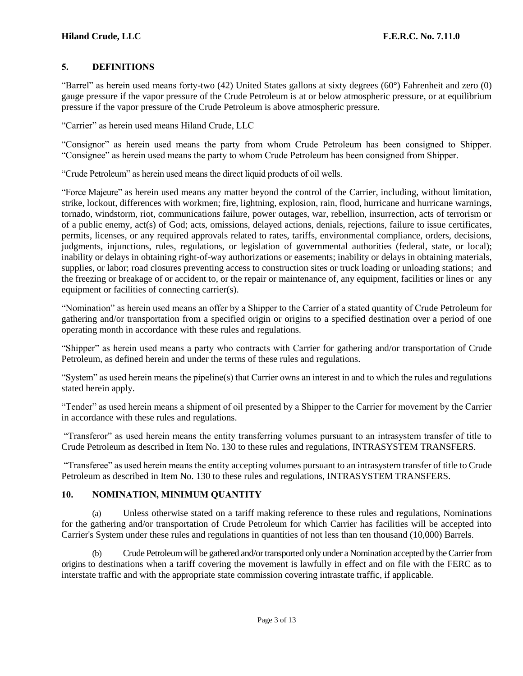## **5. DEFINITIONS**

"Barrel" as herein used means forty-two (42) United States gallons at sixty degrees (60°) Fahrenheit and zero (0) gauge pressure if the vapor pressure of the Crude Petroleum is at or below atmospheric pressure, or at equilibrium pressure if the vapor pressure of the Crude Petroleum is above atmospheric pressure.

"Carrier" as herein used means Hiland Crude, LLC

"Consignor" as herein used means the party from whom Crude Petroleum has been consigned to Shipper. "Consignee" as herein used means the party to whom Crude Petroleum has been consigned from Shipper.

"Crude Petroleum" as herein used means the direct liquid products of oil wells.

"Force Majeure" as herein used means any matter beyond the control of the Carrier, including, without limitation, strike, lockout, differences with workmen; fire, lightning, explosion, rain, flood, hurricane and hurricane warnings, tornado, windstorm, riot, communications failure, power outages, war, rebellion, insurrection, acts of terrorism or of a public enemy, act(s) of God; acts, omissions, delayed actions, denials, rejections, failure to issue certificates, permits, licenses, or any required approvals related to rates, tariffs, environmental compliance, orders, decisions, judgments, injunctions, rules, regulations, or legislation of governmental authorities (federal, state, or local); inability or delays in obtaining right-of-way authorizations or easements; inability or delays in obtaining materials, supplies, or labor; road closures preventing access to construction sites or truck loading or unloading stations; and the freezing or breakage of or accident to, or the repair or maintenance of, any equipment, facilities or lines or any equipment or facilities of connecting carrier(s).

"Nomination" as herein used means an offer by a Shipper to the Carrier of a stated quantity of Crude Petroleum for gathering and/or transportation from a specified origin or origins to a specified destination over a period of one operating month in accordance with these rules and regulations.

"Shipper" as herein used means a party who contracts with Carrier for gathering and/or transportation of Crude Petroleum, as defined herein and under the terms of these rules and regulations.

"System" as used herein means the pipeline(s) that Carrier owns an interest in and to which the rules and regulations stated herein apply.

"Tender" as used herein means a shipment of oil presented by a Shipper to the Carrier for movement by the Carrier in accordance with these rules and regulations.

"Transferor" as used herein means the entity transferring volumes pursuant to an intrasystem transfer of title to Crude Petroleum as described in Item No. 130 to these rules and regulations, INTRASYSTEM TRANSFERS.

"Transferee" as used herein means the entity accepting volumes pursuant to an intrasystem transfer of title to Crude Petroleum as described in Item No. 130 to these rules and regulations, INTRASYSTEM TRANSFERS.

## **10. NOMINATION, MINIMUM QUANTITY**

(a) Unless otherwise stated on a tariff making reference to these rules and regulations, Nominations for the gathering and/or transportation of Crude Petroleum for which Carrier has facilities will be accepted into Carrier's System under these rules and regulations in quantities of not less than ten thousand (10,000) Barrels.

(b) Crude Petroleum will be gathered and/or transported only under a Nomination accepted by the Carrier from origins to destinations when a tariff covering the movement is lawfully in effect and on file with the FERC as to interstate traffic and with the appropriate state commission covering intrastate traffic, if applicable.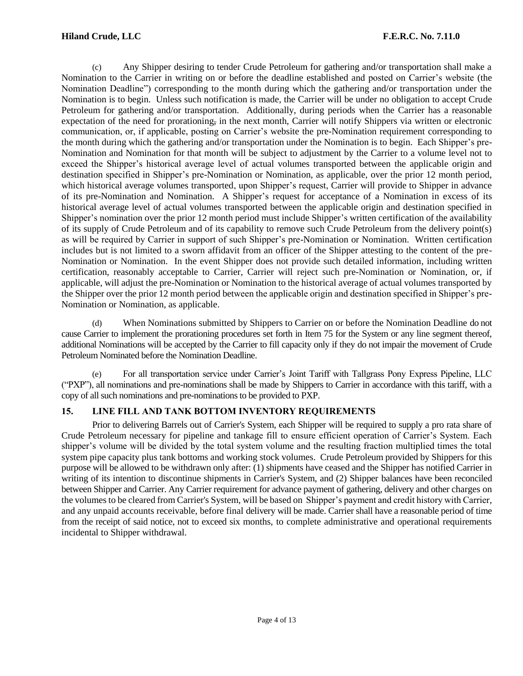#### **Hiland Crude, LLC F.E.R.C. No. 7.11.0**

(c) Any Shipper desiring to tender Crude Petroleum for gathering and/or transportation shall make a Nomination to the Carrier in writing on or before the deadline established and posted on Carrier's website (the Nomination Deadline") corresponding to the month during which the gathering and/or transportation under the Nomination is to begin. Unless such notification is made, the Carrier will be under no obligation to accept Crude Petroleum for gathering and/or transportation. Additionally, during periods when the Carrier has a reasonable expectation of the need for prorationing, in the next month, Carrier will notify Shippers via written or electronic communication, or, if applicable, posting on Carrier's website the pre-Nomination requirement corresponding to the month during which the gathering and/or transportation under the Nomination is to begin. Each Shipper's pre-Nomination and Nomination for that month will be subject to adjustment by the Carrier to a volume level not to exceed the Shipper's historical average level of actual volumes transported between the applicable origin and destination specified in Shipper's pre-Nomination or Nomination, as applicable, over the prior 12 month period, which historical average volumes transported, upon Shipper's request, Carrier will provide to Shipper in advance of its pre-Nomination and Nomination. A Shipper's request for acceptance of a Nomination in excess of its historical average level of actual volumes transported between the applicable origin and destination specified in Shipper's nomination over the prior 12 month period must include Shipper's written certification of the availability of its supply of Crude Petroleum and of its capability to remove such Crude Petroleum from the delivery point(s) as will be required by Carrier in support of such Shipper's pre-Nomination or Nomination. Written certification includes but is not limited to a sworn affidavit from an officer of the Shipper attesting to the content of the pre-Nomination or Nomination. In the event Shipper does not provide such detailed information, including written certification, reasonably acceptable to Carrier, Carrier will reject such pre-Nomination or Nomination, or, if applicable, will adjust the pre-Nomination or Nomination to the historical average of actual volumes transported by the Shipper over the prior 12 month period between the applicable origin and destination specified in Shipper's pre-Nomination or Nomination, as applicable.

(d) When Nominations submitted by Shippers to Carrier on or before the Nomination Deadline do not cause Carrier to implement the prorationing procedures set forth in Item 75 for the System or any line segment thereof, additional Nominations will be accepted by the Carrier to fill capacity only if they do not impair the movement of Crude Petroleum Nominated before the Nomination Deadline.

(e) For all transportation service under Carrier's Joint Tariff with Tallgrass Pony Express Pipeline, LLC ("PXP"), all nominations and pre-nominations shall be made by Shippers to Carrier in accordance with this tariff, with a copy of all such nominations and pre-nominations to be provided to PXP.

## **15. LINE FILL AND TANK BOTTOM INVENTORY REQUIREMENTS**

Prior to delivering Barrels out of Carrier's System, each Shipper will be required to supply a pro rata share of Crude Petroleum necessary for pipeline and tankage fill to ensure efficient operation of Carrier's System. Each shipper's volume will be divided by the total system volume and the resulting fraction multiplied times the total system pipe capacity plus tank bottoms and working stock volumes. Crude Petroleum provided by Shippers for this purpose will be allowed to be withdrawn only after: (1) shipments have ceased and the Shipper has notified Carrier in writing of its intention to discontinue shipments in Carrier's System, and (2) Shipper balances have been reconciled between Shipper and Carrier. Any Carrier requirement for advance payment of gathering, delivery and other charges on the volumes to be cleared from Carrier's System, will be based on Shipper's payment and credit history with Carrier, and any unpaid accounts receivable, before final delivery will be made. Carrier shall have a reasonable period of time from the receipt of said notice, not to exceed six months, to complete administrative and operational requirements incidental to Shipper withdrawal.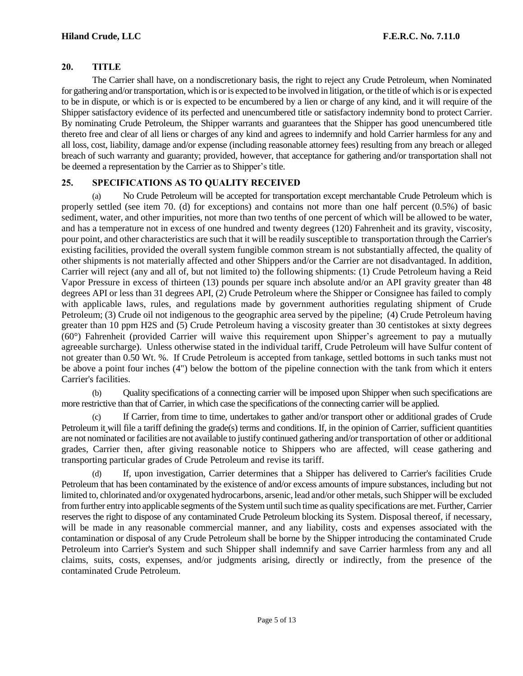#### **20. TITLE**

The Carrier shall have, on a nondiscretionary basis, the right to reject any Crude Petroleum, when Nominated for gathering and/or transportation, which is or is expected to be involved in litigation, or the title of which is or is expected to be in dispute, or which is or is expected to be encumbered by a lien or charge of any kind, and it will require of the Shipper satisfactory evidence of its perfected and unencumbered title or satisfactory indemnity bond to protect Carrier. By nominating Crude Petroleum, the Shipper warrants and guarantees that the Shipper has good unencumbered title thereto free and clear of all liens or charges of any kind and agrees to indemnify and hold Carrier harmless for any and all loss, cost, liability, damage and/or expense (including reasonable attorney fees) resulting from any breach or alleged breach of such warranty and guaranty; provided, however, that acceptance for gathering and/or transportation shall not be deemed a representation by the Carrier as to Shipper's title.

## **25. SPECIFICATIONS AS TO QUALITY RECEIVED**

(a) No Crude Petroleum will be accepted for transportation except merchantable Crude Petroleum which is properly settled (see item 70. (d) for exceptions) and contains not more than one half percent (0.5%) of basic sediment, water, and other impurities, not more than two tenths of one percent of which will be allowed to be water, and has a temperature not in excess of one hundred and twenty degrees (120) Fahrenheit and its gravity, viscosity, pour point, and other characteristics are such that it will be readily susceptible to transportation through the Carrier's existing facilities, provided the overall system fungible common stream is not substantially affected, the quality of other shipments is not materially affected and other Shippers and/or the Carrier are not disadvantaged. In addition, Carrier will reject (any and all of, but not limited to) the following shipments: (1) Crude Petroleum having a Reid Vapor Pressure in excess of thirteen (13) pounds per square inch absolute and/or an API gravity greater than 48 degrees API or less than 31 degrees API, (2) Crude Petroleum where the Shipper or Consignee has failed to comply with applicable laws, rules, and regulations made by government authorities regulating shipment of Crude Petroleum; (3) Crude oil not indigenous to the geographic area served by the pipeline; (4) Crude Petroleum having greater than 10 ppm H2S and (5) Crude Petroleum having a viscosity greater than 30 centistokes at sixty degrees (60°) Fahrenheit (provided Carrier will waive this requirement upon Shipper's agreement to pay a mutually agreeable surcharge). Unless otherwise stated in the individual tariff, Crude Petroleum will have Sulfur content of not greater than 0.50 Wt. %. If Crude Petroleum is accepted from tankage, settled bottoms in such tanks must not be above a point four inches (4") below the bottom of the pipeline connection with the tank from which it enters Carrier's facilities.

(b) Quality specifications of a connecting carrier will be imposed upon Shipper when such specifications are more restrictive than that of Carrier, in which case the specifications of the connecting carrier will be applied.

(c) If Carrier, from time to time, undertakes to gather and/or transport other or additional grades of Crude Petroleum it will file a tariff defining the grade(s) terms and conditions. If, in the opinion of Carrier, sufficient quantities are not nominated or facilities are not available to justify continued gathering and/or transportation of other or additional grades, Carrier then, after giving reasonable notice to Shippers who are affected, will cease gathering and transporting particular grades of Crude Petroleum and revise its tariff.

(d) If, upon investigation, Carrier determines that a Shipper has delivered to Carrier's facilities Crude Petroleum that has been contaminated by the existence of and/or excess amounts of impure substances, including but not limited to, chlorinated and/or oxygenated hydrocarbons, arsenic, lead and/or other metals, such Shipper will be excluded from further entry into applicable segments of the System until such time as quality specifications are met. Further, Carrier reserves the right to dispose of any contaminated Crude Petroleum blocking its System. Disposal thereof, if necessary, will be made in any reasonable commercial manner, and any liability, costs and expenses associated with the contamination or disposal of any Crude Petroleum shall be borne by the Shipper introducing the contaminated Crude Petroleum into Carrier's System and such Shipper shall indemnify and save Carrier harmless from any and all claims, suits, costs, expenses, and/or judgments arising, directly or indirectly, from the presence of the contaminated Crude Petroleum.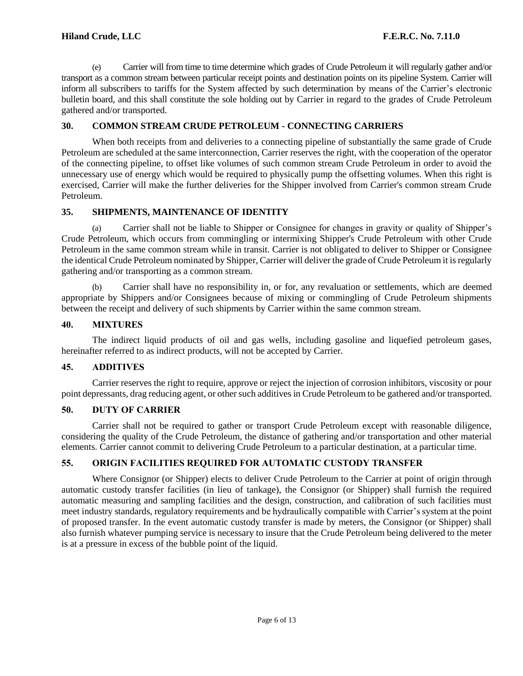(e) Carrier will from time to time determine which grades of Crude Petroleum it will regularly gather and/or transport as a common stream between particular receipt points and destination points on its pipeline System. Carrier will inform all subscribers to tariffs for the System affected by such determination by means of the Carrier's electronic bulletin board, and this shall constitute the sole holding out by Carrier in regard to the grades of Crude Petroleum gathered and/or transported.

## **30. COMMON STREAM CRUDE PETROLEUM - CONNECTING CARRIERS**

When both receipts from and deliveries to a connecting pipeline of substantially the same grade of Crude Petroleum are scheduled at the same interconnection, Carrier reserves the right, with the cooperation of the operator of the connecting pipeline, to offset like volumes of such common stream Crude Petroleum in order to avoid the unnecessary use of energy which would be required to physically pump the offsetting volumes. When this right is exercised, Carrier will make the further deliveries for the Shipper involved from Carrier's common stream Crude Petroleum.

## **35. SHIPMENTS, MAINTENANCE OF IDENTITY**

(a) Carrier shall not be liable to Shipper or Consignee for changes in gravity or quality of Shipper's Crude Petroleum, which occurs from commingling or intermixing Shipper's Crude Petroleum with other Crude Petroleum in the same common stream while in transit. Carrier is not obligated to deliver to Shipper or Consignee the identical Crude Petroleum nominated by Shipper, Carrier will deliver the grade of Crude Petroleum it is regularly gathering and/or transporting as a common stream.

(b) Carrier shall have no responsibility in, or for, any revaluation or settlements, which are deemed appropriate by Shippers and/or Consignees because of mixing or commingling of Crude Petroleum shipments between the receipt and delivery of such shipments by Carrier within the same common stream.

## **40. MIXTURES**

The indirect liquid products of oil and gas wells, including gasoline and liquefied petroleum gases, hereinafter referred to as indirect products, will not be accepted by Carrier.

#### **45. ADDITIVES**

Carrier reserves the right to require, approve or reject the injection of corrosion inhibitors, viscosity or pour point depressants, drag reducing agent, or other such additives in Crude Petroleum to be gathered and/or transported.

#### **50. DUTY OF CARRIER**

Carrier shall not be required to gather or transport Crude Petroleum except with reasonable diligence, considering the quality of the Crude Petroleum, the distance of gathering and/or transportation and other material elements. Carrier cannot commit to delivering Crude Petroleum to a particular destination, at a particular time.

# **55. ORIGIN FACILITIES REQUIRED FOR AUTOMATIC CUSTODY TRANSFER**

Where Consignor (or Shipper) elects to deliver Crude Petroleum to the Carrier at point of origin through automatic custody transfer facilities (in lieu of tankage), the Consignor (or Shipper) shall furnish the required automatic measuring and sampling facilities and the design, construction, and calibration of such facilities must meet industry standards, regulatory requirements and be hydraulically compatible with Carrier's system at the point of proposed transfer. In the event automatic custody transfer is made by meters, the Consignor (or Shipper) shall also furnish whatever pumping service is necessary to insure that the Crude Petroleum being delivered to the meter is at a pressure in excess of the bubble point of the liquid.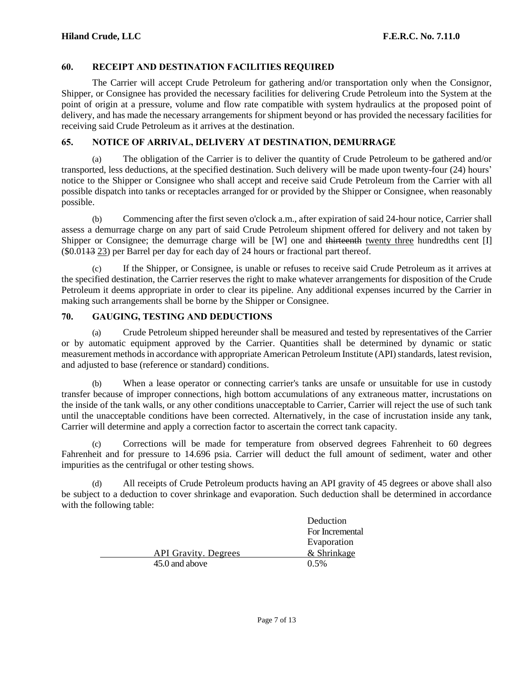#### **60. RECEIPT AND DESTINATION FACILITIES REQUIRED**

The Carrier will accept Crude Petroleum for gathering and/or transportation only when the Consignor, Shipper, or Consignee has provided the necessary facilities for delivering Crude Petroleum into the System at the point of origin at a pressure, volume and flow rate compatible with system hydraulics at the proposed point of delivery, and has made the necessary arrangements for shipment beyond or has provided the necessary facilities for receiving said Crude Petroleum as it arrives at the destination.

#### **65. NOTICE OF ARRIVAL, DELIVERY AT DESTINATION, DEMURRAGE**

(a) The obligation of the Carrier is to deliver the quantity of Crude Petroleum to be gathered and/or transported, less deductions, at the specified destination. Such delivery will be made upon twenty-four (24) hours' notice to the Shipper or Consignee who shall accept and receive said Crude Petroleum from the Carrier with all possible dispatch into tanks or receptacles arranged for or provided by the Shipper or Consignee, when reasonably possible.

(b) Commencing after the first seven o'clock a.m., after expiration of said 24-hour notice, Carrier shall assess a demurrage charge on any part of said Crude Petroleum shipment offered for delivery and not taken by Shipper or Consignee; the demurrage charge will be [W] one and thirteenth twenty three hundredths cent [I] (\$0.0113 23) per Barrel per day for each day of 24 hours or fractional part thereof.

If the Shipper, or Consignee, is unable or refuses to receive said Crude Petroleum as it arrives at the specified destination, the Carrier reserves the right to make whatever arrangements for disposition of the Crude Petroleum it deems appropriate in order to clear its pipeline. Any additional expenses incurred by the Carrier in making such arrangements shall be borne by the Shipper or Consignee.

#### **70. GAUGING, TESTING AND DEDUCTIONS**

(a) Crude Petroleum shipped hereunder shall be measured and tested by representatives of the Carrier or by automatic equipment approved by the Carrier. Quantities shall be determined by dynamic or static measurement methods in accordance with appropriate American Petroleum Institute (API) standards, latest revision, and adjusted to base (reference or standard) conditions.

(b) When a lease operator or connecting carrier's tanks are unsafe or unsuitable for use in custody transfer because of improper connections, high bottom accumulations of any extraneous matter, incrustations on the inside of the tank walls, or any other conditions unacceptable to Carrier, Carrier will reject the use of such tank until the unacceptable conditions have been corrected. Alternatively, in the case of incrustation inside any tank, Carrier will determine and apply a correction factor to ascertain the correct tank capacity.

(c) Corrections will be made for temperature from observed degrees Fahrenheit to 60 degrees Fahrenheit and for pressure to 14.696 psia. Carrier will deduct the full amount of sediment, water and other impurities as the centrifugal or other testing shows.

(d) All receipts of Crude Petroleum products having an API gravity of 45 degrees or above shall also be subject to a deduction to cover shrinkage and evaporation. Such deduction shall be determined in accordance with the following table:

|                             | Deduction       |
|-----------------------------|-----------------|
|                             | For Incremental |
|                             | Evaporation     |
| <b>API Gravity. Degrees</b> | & Shrinkage     |
| 45.0 and above              | 0.5%            |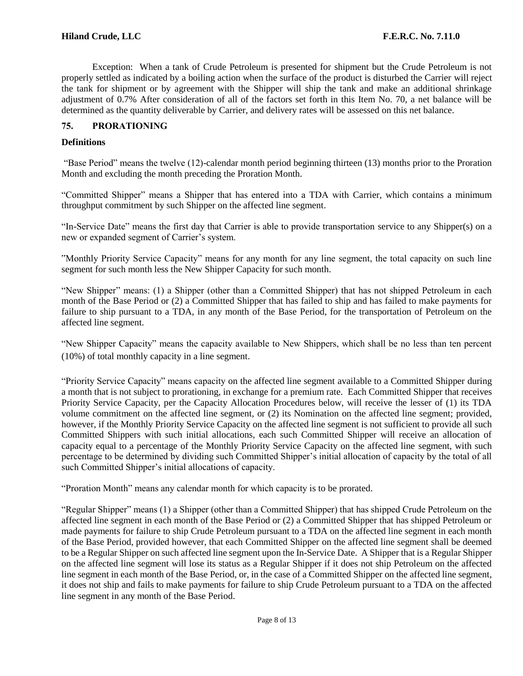Exception: When a tank of Crude Petroleum is presented for shipment but the Crude Petroleum is not properly settled as indicated by a boiling action when the surface of the product is disturbed the Carrier will reject the tank for shipment or by agreement with the Shipper will ship the tank and make an additional shrinkage adjustment of 0.7% After consideration of all of the factors set forth in this Item No. 70, a net balance will be determined as the quantity deliverable by Carrier, and delivery rates will be assessed on this net balance.

## **75. PRORATIONING**

#### **Definitions**

"Base Period" means the twelve (12)-calendar month period beginning thirteen (13) months prior to the Proration Month and excluding the month preceding the Proration Month.

"Committed Shipper" means a Shipper that has entered into a TDA with Carrier, which contains a minimum throughput commitment by such Shipper on the affected line segment.

"In-Service Date" means the first day that Carrier is able to provide transportation service to any Shipper(s) on a new or expanded segment of Carrier's system.

"Monthly Priority Service Capacity" means for any month for any line segment, the total capacity on such line segment for such month less the New Shipper Capacity for such month.

"New Shipper" means: (1) a Shipper (other than a Committed Shipper) that has not shipped Petroleum in each month of the Base Period or (2) a Committed Shipper that has failed to ship and has failed to make payments for failure to ship pursuant to a TDA, in any month of the Base Period, for the transportation of Petroleum on the affected line segment.

"New Shipper Capacity" means the capacity available to New Shippers, which shall be no less than ten percent (10%) of total monthly capacity in a line segment.

"Priority Service Capacity" means capacity on the affected line segment available to a Committed Shipper during a month that is not subject to prorationing, in exchange for a premium rate. Each Committed Shipper that receives Priority Service Capacity, per the Capacity Allocation Procedures below, will receive the lesser of (1) its TDA volume commitment on the affected line segment, or (2) its Nomination on the affected line segment; provided, however, if the Monthly Priority Service Capacity on the affected line segment is not sufficient to provide all such Committed Shippers with such initial allocations, each such Committed Shipper will receive an allocation of capacity equal to a percentage of the Monthly Priority Service Capacity on the affected line segment, with such percentage to be determined by dividing such Committed Shipper's initial allocation of capacity by the total of all such Committed Shipper's initial allocations of capacity.

"Proration Month" means any calendar month for which capacity is to be prorated.

"Regular Shipper" means (1) a Shipper (other than a Committed Shipper) that has shipped Crude Petroleum on the affected line segment in each month of the Base Period or (2) a Committed Shipper that has shipped Petroleum or made payments for failure to ship Crude Petroleum pursuant to a TDA on the affected line segment in each month of the Base Period, provided however, that each Committed Shipper on the affected line segment shall be deemed to be a Regular Shipper on such affected line segment upon the In-Service Date. A Shipper that is a Regular Shipper on the affected line segment will lose its status as a Regular Shipper if it does not ship Petroleum on the affected line segment in each month of the Base Period, or, in the case of a Committed Shipper on the affected line segment, it does not ship and fails to make payments for failure to ship Crude Petroleum pursuant to a TDA on the affected line segment in any month of the Base Period.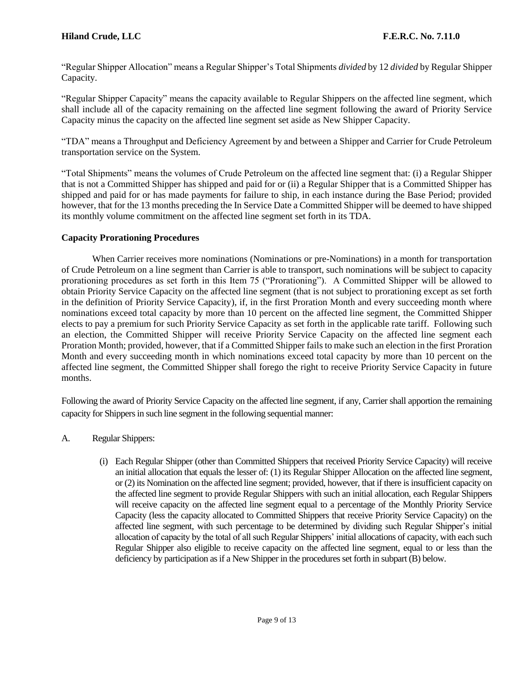"Regular Shipper Allocation" means a Regular Shipper's Total Shipments *divided* by 12 *divided* by Regular Shipper Capacity.

"Regular Shipper Capacity" means the capacity available to Regular Shippers on the affected line segment, which shall include all of the capacity remaining on the affected line segment following the award of Priority Service Capacity minus the capacity on the affected line segment set aside as New Shipper Capacity.

"TDA" means a Throughput and Deficiency Agreement by and between a Shipper and Carrier for Crude Petroleum transportation service on the System.

"Total Shipments" means the volumes of Crude Petroleum on the affected line segment that: (i) a Regular Shipper that is not a Committed Shipper has shipped and paid for or (ii) a Regular Shipper that is a Committed Shipper has shipped and paid for or has made payments for failure to ship, in each instance during the Base Period; provided however, that for the 13 months preceding the In Service Date a Committed Shipper will be deemed to have shipped its monthly volume commitment on the affected line segment set forth in its TDA.

## **Capacity Prorationing Procedures**

When Carrier receives more nominations (Nominations or pre-Nominations) in a month for transportation of Crude Petroleum on a line segment than Carrier is able to transport, such nominations will be subject to capacity prorationing procedures as set forth in this Item 75 ("Prorationing"). A Committed Shipper will be allowed to obtain Priority Service Capacity on the affected line segment (that is not subject to prorationing except as set forth in the definition of Priority Service Capacity), if, in the first Proration Month and every succeeding month where nominations exceed total capacity by more than 10 percent on the affected line segment, the Committed Shipper elects to pay a premium for such Priority Service Capacity as set forth in the applicable rate tariff. Following such an election, the Committed Shipper will receive Priority Service Capacity on the affected line segment each Proration Month; provided, however, that if a Committed Shipper fails to make such an election in the first Proration Month and every succeeding month in which nominations exceed total capacity by more than 10 percent on the affected line segment, the Committed Shipper shall forego the right to receive Priority Service Capacity in future months.

Following the award of Priority Service Capacity on the affected line segment, if any, Carrier shall apportion the remaining capacity for Shippers in such line segment in the following sequential manner:

- A. Regular Shippers:
	- (i) Each Regular Shipper (other than Committed Shippers that received Priority Service Capacity) will receive an initial allocation that equals the lesser of: (1) its Regular Shipper Allocation on the affected line segment, or (2) its Nomination on the affected line segment; provided, however, that if there is insufficient capacity on the affected line segment to provide Regular Shippers with such an initial allocation, each Regular Shippers will receive capacity on the affected line segment equal to a percentage of the Monthly Priority Service Capacity (less the capacity allocated to Committed Shippers that receive Priority Service Capacity) on the affected line segment, with such percentage to be determined by dividing such Regular Shipper's initial allocation of capacity by the total of all such Regular Shippers' initial allocations of capacity, with each such Regular Shipper also eligible to receive capacity on the affected line segment, equal to or less than the deficiency by participation as if a New Shipper in the procedures set forth in subpart (B) below.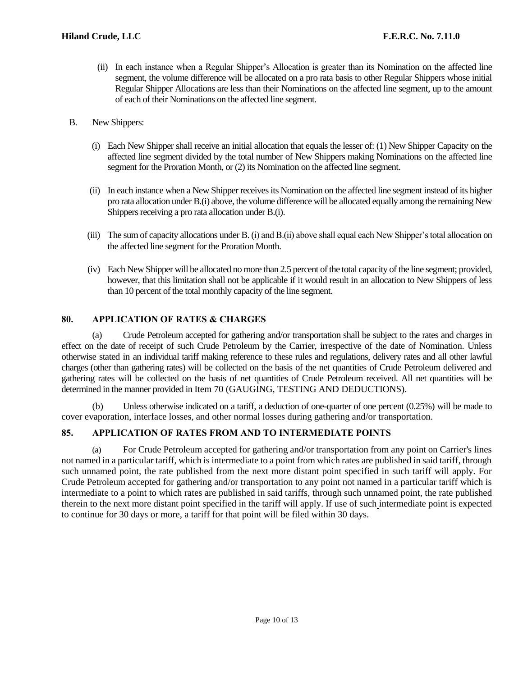- (ii) In each instance when a Regular Shipper's Allocation is greater than its Nomination on the affected line segment, the volume difference will be allocated on a pro rata basis to other Regular Shippers whose initial Regular Shipper Allocations are less than their Nominations on the affected line segment, up to the amount of each of their Nominations on the affected line segment.
- B. New Shippers:
	- (i) Each New Shipper shall receive an initial allocation that equals the lesser of: (1) New Shipper Capacity on the affected line segment divided by the total number of New Shippers making Nominations on the affected line segment for the Proration Month, or (2) its Nomination on the affected line segment.
	- (ii) In each instance when a New Shipper receives its Nomination on the affected line segment instead of its higher pro rata allocation under B.(i) above, the volume difference will be allocated equally among the remaining New Shippers receiving a pro rata allocation under B.(i).
	- (iii) The sum of capacity allocations under B. (i) and B.(ii) above shall equal each New Shipper's total allocation on the affected line segment for the Proration Month.
	- (iv) Each New Shipper will be allocated no more than 2.5 percent of the total capacity of the line segment; provided, however, that this limitation shall not be applicable if it would result in an allocation to New Shippers of less than 10 percent of the total monthly capacity of the line segment.

## **80. APPLICATION OF RATES & CHARGES**

(a) Crude Petroleum accepted for gathering and/or transportation shall be subject to the rates and charges in effect on the date of receipt of such Crude Petroleum by the Carrier, irrespective of the date of Nomination. Unless otherwise stated in an individual tariff making reference to these rules and regulations, delivery rates and all other lawful charges (other than gathering rates) will be collected on the basis of the net quantities of Crude Petroleum delivered and gathering rates will be collected on the basis of net quantities of Crude Petroleum received. All net quantities will be determined in the manner provided in Item 70 (GAUGING, TESTING AND DEDUCTIONS).

(b) Unless otherwise indicated on a tariff, a deduction of one-quarter of one percent (0.25%) will be made to cover evaporation, interface losses, and other normal losses during gathering and/or transportation.

#### **85. APPLICATION OF RATES FROM AND TO INTERMEDIATE POINTS**

(a) For Crude Petroleum accepted for gathering and/or transportation from any point on Carrier's lines not named in a particular tariff, which is intermediate to a point from which rates are published in said tariff, through such unnamed point, the rate published from the next more distant point specified in such tariff will apply. For Crude Petroleum accepted for gathering and/or transportation to any point not named in a particular tariff which is intermediate to a point to which rates are published in said tariffs, through such unnamed point, the rate published therein to the next more distant point specified in the tariff will apply. If use of such intermediate point is expected to continue for 30 days or more, a tariff for that point will be filed within 30 days.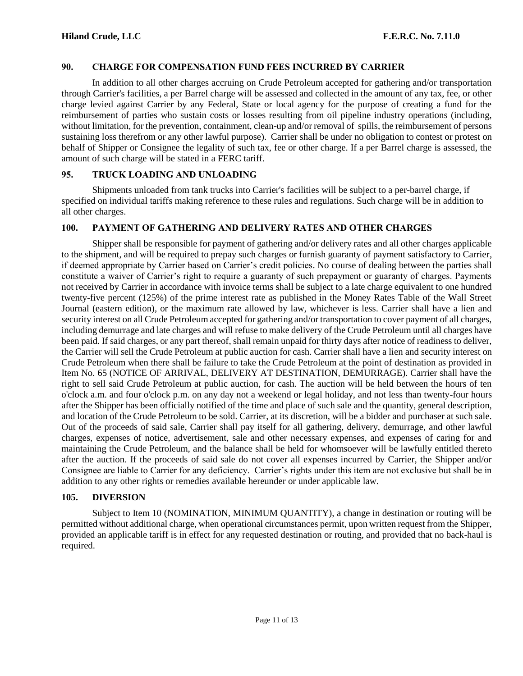#### **90. CHARGE FOR COMPENSATION FUND FEES INCURRED BY CARRIER**

In addition to all other charges accruing on Crude Petroleum accepted for gathering and/or transportation through Carrier's facilities, a per Barrel charge will be assessed and collected in the amount of any tax, fee, or other charge levied against Carrier by any Federal, State or local agency for the purpose of creating a fund for the reimbursement of parties who sustain costs or losses resulting from oil pipeline industry operations (including, without limitation, for the prevention, containment, clean-up and/or removal of spills, the reimbursement of persons sustaining loss therefrom or any other lawful purpose). Carrier shall be under no obligation to contest or protest on behalf of Shipper or Consignee the legality of such tax, fee or other charge. If a per Barrel charge is assessed, the amount of such charge will be stated in a FERC tariff.

#### **95. TRUCK LOADING AND UNLOADING**

Shipments unloaded from tank trucks into Carrier's facilities will be subject to a per-barrel charge, if specified on individual tariffs making reference to these rules and regulations. Such charge will be in addition to all other charges.

#### **100. PAYMENT OF GATHERING AND DELIVERY RATES AND OTHER CHARGES**

Shipper shall be responsible for payment of gathering and/or delivery rates and all other charges applicable to the shipment, and will be required to prepay such charges or furnish guaranty of payment satisfactory to Carrier, if deemed appropriate by Carrier based on Carrier's credit policies. No course of dealing between the parties shall constitute a waiver of Carrier's right to require a guaranty of such prepayment or guaranty of charges. Payments not received by Carrier in accordance with invoice terms shall be subject to a late charge equivalent to one hundred twenty-five percent (125%) of the prime interest rate as published in the Money Rates Table of the Wall Street Journal (eastern edition), or the maximum rate allowed by law, whichever is less. Carrier shall have a lien and security interest on all Crude Petroleum accepted for gathering and/or transportation to cover payment of all charges, including demurrage and late charges and will refuse to make delivery of the Crude Petroleum until all charges have been paid. If said charges, or any part thereof, shall remain unpaid for thirty days after notice of readiness to deliver, the Carrier will sell the Crude Petroleum at public auction for cash. Carrier shall have a lien and security interest on Crude Petroleum when there shall be failure to take the Crude Petroleum at the point of destination as provided in Item No. 65 (NOTICE OF ARRIVAL, DELIVERY AT DESTINATION, DEMURRAGE). Carrier shall have the right to sell said Crude Petroleum at public auction, for cash. The auction will be held between the hours of ten o'clock a.m. and four o'clock p.m. on any day not a weekend or legal holiday, and not less than twenty-four hours after the Shipper has been officially notified of the time and place of such sale and the quantity, general description, and location of the Crude Petroleum to be sold. Carrier, at its discretion, will be a bidder and purchaser at such sale. Out of the proceeds of said sale, Carrier shall pay itself for all gathering, delivery, demurrage, and other lawful charges, expenses of notice, advertisement, sale and other necessary expenses, and expenses of caring for and maintaining the Crude Petroleum, and the balance shall be held for whomsoever will be lawfully entitled thereto after the auction. If the proceeds of said sale do not cover all expenses incurred by Carrier, the Shipper and/or Consignee are liable to Carrier for any deficiency. Carrier's rights under this item are not exclusive but shall be in addition to any other rights or remedies available hereunder or under applicable law.

#### **105. DIVERSION**

Subject to Item 10 (NOMINATION, MINIMUM QUANTITY), a change in destination or routing will be permitted without additional charge, when operational circumstances permit, upon written request from the Shipper, provided an applicable tariff is in effect for any requested destination or routing, and provided that no back-haul is required.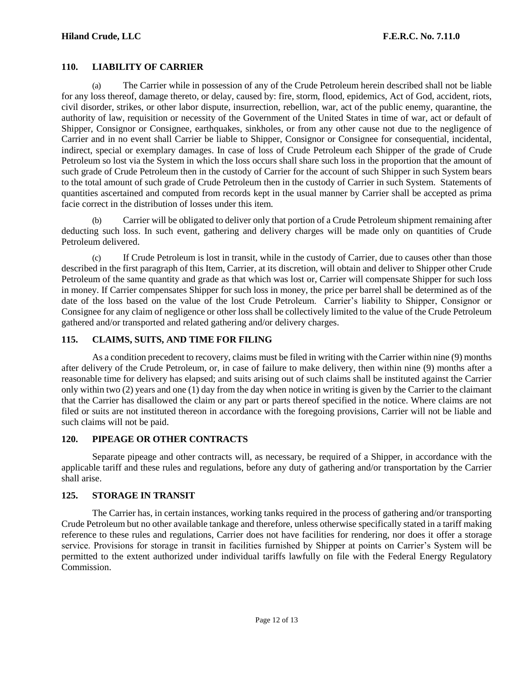#### **110. LIABILITY OF CARRIER**

(a) The Carrier while in possession of any of the Crude Petroleum herein described shall not be liable for any loss thereof, damage thereto, or delay, caused by: fire, storm, flood, epidemics, Act of God, accident, riots, civil disorder, strikes, or other labor dispute, insurrection, rebellion, war, act of the public enemy, quarantine, the authority of law, requisition or necessity of the Government of the United States in time of war, act or default of Shipper, Consignor or Consignee, earthquakes, sinkholes, or from any other cause not due to the negligence of Carrier and in no event shall Carrier be liable to Shipper, Consignor or Consignee for consequential, incidental, indirect, special or exemplary damages. In case of loss of Crude Petroleum each Shipper of the grade of Crude Petroleum so lost via the System in which the loss occurs shall share such loss in the proportion that the amount of such grade of Crude Petroleum then in the custody of Carrier for the account of such Shipper in such System bears to the total amount of such grade of Crude Petroleum then in the custody of Carrier in such System. Statements of quantities ascertained and computed from records kept in the usual manner by Carrier shall be accepted as prima facie correct in the distribution of losses under this item.

(b) Carrier will be obligated to deliver only that portion of a Crude Petroleum shipment remaining after deducting such loss. In such event, gathering and delivery charges will be made only on quantities of Crude Petroleum delivered.

(c) If Crude Petroleum is lost in transit, while in the custody of Carrier, due to causes other than those described in the first paragraph of this Item, Carrier, at its discretion, will obtain and deliver to Shipper other Crude Petroleum of the same quantity and grade as that which was lost or, Carrier will compensate Shipper for such loss in money. If Carrier compensates Shipper for such loss in money, the price per barrel shall be determined as of the date of the loss based on the value of the lost Crude Petroleum. Carrier's liability to Shipper, Consignor or Consignee for any claim of negligence or other loss shall be collectively limited to the value of the Crude Petroleum gathered and/or transported and related gathering and/or delivery charges.

### **115. CLAIMS, SUITS, AND TIME FOR FILING**

As a condition precedent to recovery, claims must be filed in writing with the Carrier within nine (9) months after delivery of the Crude Petroleum, or, in case of failure to make delivery, then within nine (9) months after a reasonable time for delivery has elapsed; and suits arising out of such claims shall be instituted against the Carrier only within two (2) years and one (1) day from the day when notice in writing is given by the Carrier to the claimant that the Carrier has disallowed the claim or any part or parts thereof specified in the notice. Where claims are not filed or suits are not instituted thereon in accordance with the foregoing provisions, Carrier will not be liable and such claims will not be paid.

#### **120. PIPEAGE OR OTHER CONTRACTS**

Separate pipeage and other contracts will, as necessary, be required of a Shipper, in accordance with the applicable tariff and these rules and regulations, before any duty of gathering and/or transportation by the Carrier shall arise.

#### **125. STORAGE IN TRANSIT**

The Carrier has, in certain instances, working tanks required in the process of gathering and/or transporting Crude Petroleum but no other available tankage and therefore, unless otherwise specifically stated in a tariff making reference to these rules and regulations, Carrier does not have facilities for rendering, nor does it offer a storage service. Provisions for storage in transit in facilities furnished by Shipper at points on Carrier's System will be permitted to the extent authorized under individual tariffs lawfully on file with the Federal Energy Regulatory Commission.